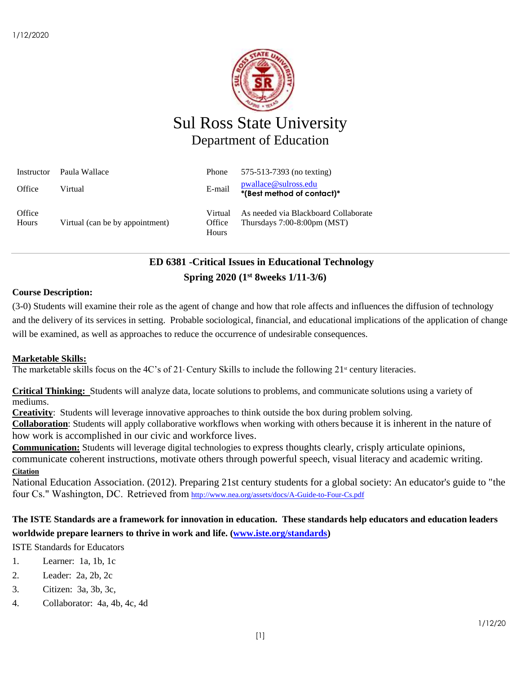

# Sul Ross State University Department of Education

| Instructor      | Paula Wallace                   | Phone                      | 575-513-7393 (no texting)                                                     |
|-----------------|---------------------------------|----------------------------|-------------------------------------------------------------------------------|
| Office          | Virtual                         | E-mail                     | pwallace@sulross.edu<br>*(Best method of contact)*                            |
| Office<br>Hours | Virtual (can be by appointment) | Virtual<br>Office<br>Hours | As needed via Blackboard Collaborate<br>Thursdays $7:00-8:00 \text{pm}$ (MST) |

# **ED 6381 -Critical Issues in Educational Technology Spring 2020 (1 st 8weeks 1/11-3/6)**

## **Course Description:**

(3-0) Students will examine their role as the agent of change and how that role affects and influences the diffusion of technology and the delivery of its services in setting. Probable sociological, financial, and educational implications of the application of change will be examined, as well as approaches to reduce the occurrence of undesirable consequences.

## **Marketable Skills:**

The marketable skills focus on the 4C's of 21 Century Skills to include the following  $21^{\text{st}}$  century literacies.

**Critical Thinking:** Students will analyze data, locate solutions to problems, and communicate solutions using a variety of mediums.

**Creativity**: Students will leverage innovative approaches to think outside the box during problem solving.

**Collaboration**: Students will apply collaborative workflows when working with others because it is inherent in the nature of how work is accomplished in our civic and workforce lives.

**Communication:** Students will leverage digital technologies to express thoughts clearly, crisply articulate opinions, communicate coherent instructions, motivate others through powerful speech, visual literacy and academic writing. **Citation**

National Education Association. (2012). Preparing 21st century students for a global society: An educator's guide to "the four Cs." Washington, DC.  Retrieved from <http://www.nea.org/assets/docs/A-Guide-to-Four-Cs.pdf>

## **The ISTE Standards are a framework for innovation in education. These standards help educators and education leaders worldwide prepare learners to thrive in work and life. [\(www.iste.org/standards\)](http://www.iste.org/standards)**

ISTE Standards for Educators

- 1. Learner: 1a, 1b, 1c
- 2. Leader: 2a, 2b, 2c
- 3. Citizen: 3a, 3b, 3c,
- 4. Collaborator: 4a, 4b, 4c, 4d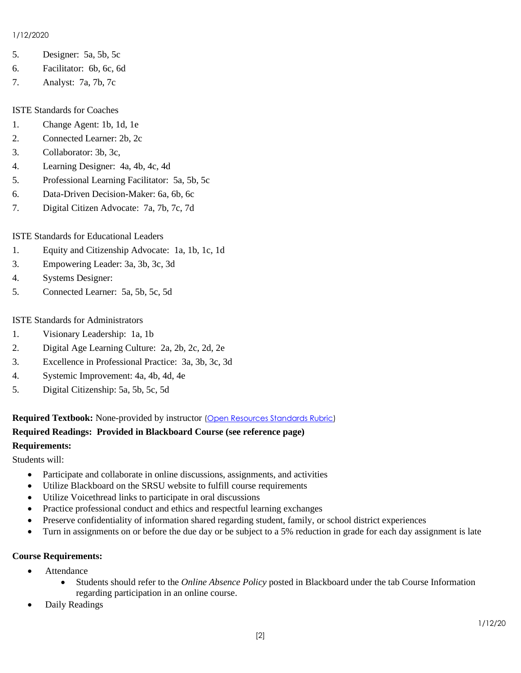#### 1/12/2020

- 5. Designer: 5a, 5b, 5c
- 6. Facilitator: 6b, 6c, 6d
- 7. Analyst: 7a, 7b, 7c

#### ISTE Standards for Coaches

- 1. Change Agent: 1b, 1d, 1e
- 2. Connected Learner: 2b, 2c
- 3. Collaborator: 3b, 3c,
- 4. Learning Designer: 4a, 4b, 4c, 4d
- 5. Professional Learning Facilitator: 5a, 5b, 5c
- 6. Data-Driven Decision-Maker: 6a, 6b, 6c
- 7. Digital Citizen Advocate: 7a, 7b, 7c, 7d

## ISTE Standards for Educational Leaders

- 1. Equity and Citizenship Advocate: 1a, 1b, 1c, 1d
- 3. Empowering Leader: 3a, 3b, 3c, 3d
- 4. Systems Designer:
- 5. Connected Learner: 5a, 5b, 5c, 5d

### ISTE Standards for Administrators

- 1. Visionary Leadership: 1a, 1b
- 2. Digital Age Learning Culture: 2a, 2b, 2c, 2d, 2e
- 3. Excellence in Professional Practice: 3a, 3b, 3c, 3d
- 4. Systemic Improvement: 4a, 4b, 4d, 4e
- 5. Digital Citizenship: 5a, 5b, 5c, 5d

**Required Textbook:** None-provided by instructor [\(Open Resources Standards Rubric\)](https://www.achieve.org/files/AchieveOERRubrics.pdf)

## **Required Readings: Provided in Blackboard Course (see reference page)**

#### **Requirements:**

Students will:

- Participate and collaborate in online discussions, assignments, and activities
- Utilize Blackboard on the SRSU website to fulfill course requirements
- Utilize Voicethread links to participate in oral discussions
- Practice professional conduct and ethics and respectful learning exchanges
- Preserve confidentiality of information shared regarding student, family, or school district experiences
- Turn in assignments on or before the due day or be subject to a 5% reduction in grade for each day assignment is late

#### **Course Requirements:**

- Attendance
	- Students should refer to the *Online Absence Policy* posted in Blackboard under the tab Course Information regarding participation in an online course.
- Daily Readings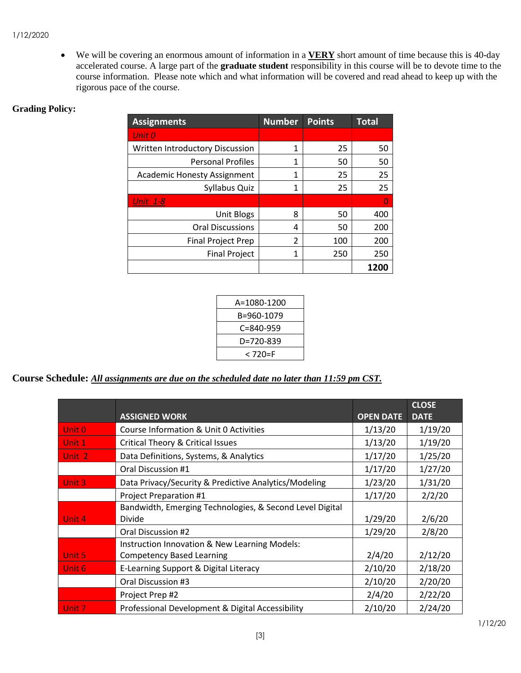#### 1/12/2020

• We will be covering an enormous amount of information in a **VERY** short amount of time because this is 40-day accelerated course. A large part of the **graduate student** responsibility in this course will be to devote time to the course information. Please note which and what information will be covered and read ahead to keep up with the rigorous pace of the course.

## **Grading Policy:**

| <b>Assignments</b>                 | <b>Number</b> | <b>Points</b> | <b>Total</b> |
|------------------------------------|---------------|---------------|--------------|
| Unit 0                             |               |               |              |
| Written Introductory Discussion    | 1             | 25            | 50           |
| <b>Personal Profiles</b>           | 1             | 50            | 50           |
| <b>Academic Honesty Assignment</b> | 1             | 25            | 25           |
| Syllabus Quiz                      | 1             | 25            | 25           |
| <b>Unit 1-8</b>                    |               |               | O            |
| <b>Unit Blogs</b>                  | 8             | 50            | 400          |
| <b>Oral Discussions</b>            | 4             | 50            | 200          |
| <b>Final Project Prep</b>          | 2             | 100           | 200          |
| <b>Final Project</b>               | 1             | 250           | 250          |
|                                    |               |               | <b>1200</b>  |

| A=1080-1200     |  |
|-----------------|--|
| B=960-1079      |  |
| $C = 840 - 959$ |  |
| D=720-839       |  |
| < 720=F         |  |

## **Course Schedule:** *All assignments are due on the scheduled date no later than 11:59 pm CST.*

|        |                                                          |                  | <b>CLOSE</b> |
|--------|----------------------------------------------------------|------------------|--------------|
|        | <b>ASSIGNED WORK</b>                                     | <b>OPEN DATE</b> | <b>DATE</b>  |
| Unit 0 | Course Information & Unit 0 Activities                   | 1/13/20          | 1/19/20      |
| Unit 1 | Critical Theory & Critical Issues                        | 1/13/20          | 1/19/20      |
| Unit 2 | Data Definitions, Systems, & Analytics                   | 1/17/20          | 1/25/20      |
|        | Oral Discussion #1                                       | 1/17/20          | 1/27/20      |
| Unit 3 | Data Privacy/Security & Predictive Analytics/Modeling    | 1/23/20          | 1/31/20      |
|        | Project Preparation #1                                   | 1/17/20          | 2/2/20       |
|        | Bandwidth, Emerging Technologies, & Second Level Digital |                  |              |
| Unit 4 | Divide                                                   | 1/29/20          | 2/6/20       |
|        | Oral Discussion #2                                       | 1/29/20          | 2/8/20       |
|        | Instruction Innovation & New Learning Models:            |                  |              |
| Unit 5 | <b>Competency Based Learning</b>                         | 2/4/20           | 2/12/20      |
| Unit 6 | E-Learning Support & Digital Literacy                    | 2/10/20          | 2/18/20      |
|        | Oral Discussion #3                                       | 2/10/20          | 2/20/20      |
|        | Project Prep #2                                          | 2/4/20           | 2/22/20      |
| Unit 7 | Professional Development & Digital Accessibility         | 2/10/20          | 2/24/20      |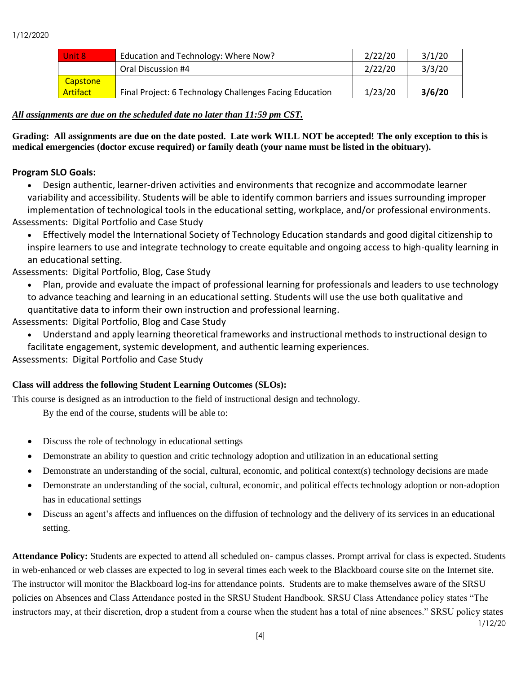| Unit 8          | Education and Technology: Where Now?                    | 2/22/20 | 3/1/20 |
|-----------------|---------------------------------------------------------|---------|--------|
|                 | Oral Discussion #4                                      | 2/22/20 | 3/3/20 |
| Capstone        |                                                         |         |        |
| <b>Artifact</b> | Final Project: 6 Technology Challenges Facing Education | 1/23/20 | 3/6/20 |

## *All assignments are due on the scheduled date no later than 11:59 pm CST.*

**Grading: All assignments are due on the date posted. Late work WILL NOT be accepted! The only exception to this is medical emergencies (doctor excuse required) or family death (your name must be listed in the obituary).** 

## **Program SLO Goals:**

• Design authentic, learner-driven activities and environments that recognize and accommodate learner variability and accessibility. Students will be able to identify common barriers and issues surrounding improper implementation of technological tools in the educational setting, workplace, and/or professional environments. Assessments: Digital Portfolio and Case Study

• Effectively model the International Society of Technology Education standards and good digital citizenship to inspire learners to use and integrate technology to create equitable and ongoing access to high-quality learning in an educational setting.

## Assessments: Digital Portfolio, Blog, Case Study

- Plan, provide and evaluate the impact of professional learning for professionals and leaders to use technology to advance teaching and learning in an educational setting. Students will use the use both qualitative and quantitative data to inform their own instruction and professional learning.
- Assessments: Digital Portfolio, Blog and Case Study
	- Understand and apply learning theoretical frameworks and instructional methods to instructional design to facilitate engagement, systemic development, and authentic learning experiences.

Assessments: Digital Portfolio and Case Study

## **Class will address the following Student Learning Outcomes (SLOs):**

This course is designed as an introduction to the field of instructional design and technology.

By the end of the course, students will be able to:

- Discuss the role of technology in educational settings
- Demonstrate an ability to question and critic technology adoption and utilization in an educational setting
- Demonstrate an understanding of the social, cultural, economic, and political context(s) technology decisions are made
- Demonstrate an understanding of the social, cultural, economic, and political effects technology adoption or non-adoption has in educational settings
- Discuss an agent's affects and influences on the diffusion of technology and the delivery of its services in an educational setting.

1/12/20 **Attendance Policy:** Students are expected to attend all scheduled on- campus classes. Prompt arrival for class is expected. Students in web-enhanced or web classes are expected to log in several times each week to the Blackboard course site on the Internet site. The instructor will monitor the Blackboard log-ins for attendance points. Students are to make themselves aware of the SRSU policies on Absences and Class Attendance posted in the SRSU Student Handbook. SRSU Class Attendance policy states "The instructors may, at their discretion, drop a student from a course when the student has a total of nine absences." SRSU policy states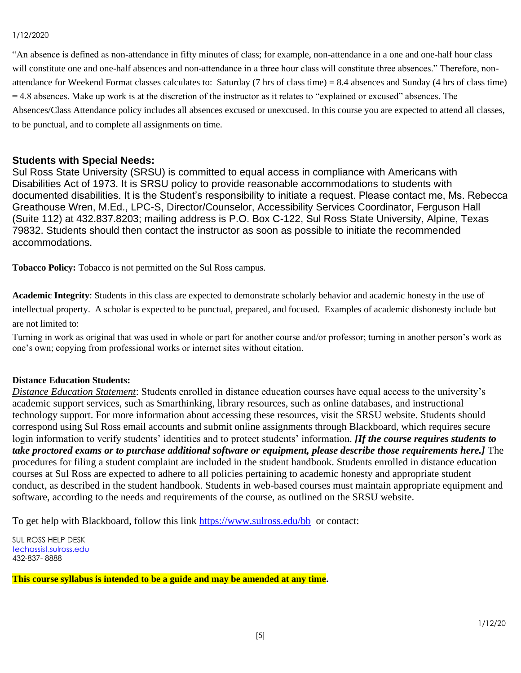#### 1/12/2020

"An absence is defined as non-attendance in fifty minutes of class; for example, non-attendance in a one and one-half hour class will constitute one and one-half absences and non-attendance in a three hour class will constitute three absences." Therefore, nonattendance for Weekend Format classes calculates to: Saturday (7 hrs of class time) =  $8.4$  absences and Sunday (4 hrs of class time)  $= 4.8$  absences. Make up work is at the discretion of the instructor as it relates to "explained or excused" absences. The Absences/Class Attendance policy includes all absences excused or unexcused. In this course you are expected to attend all classes, to be punctual, and to complete all assignments on time.

## **Students with Special Needs:**

Sul Ross State University (SRSU) is committed to equal access in compliance with Americans with Disabilities Act of 1973. It is SRSU policy to provide reasonable accommodations to students with documented disabilities. It is the Student's responsibility to initiate a request. Please contact me, Ms. Rebecca Greathouse Wren, M.Ed., LPC-S, Director/Counselor, Accessibility Services Coordinator, Ferguson Hall (Suite 112) at 432.837.8203; mailing address is P.O. Box C-122, Sul Ross State University, Alpine, Texas 79832. Students should then contact the instructor as soon as possible to initiate the recommended accommodations.

**Tobacco Policy:** Tobacco is not permitted on the Sul Ross campus.

**Academic Integrity**: Students in this class are expected to demonstrate scholarly behavior and academic honesty in the use of intellectual property. A scholar is expected to be punctual, prepared, and focused. Examples of academic dishonesty include but are not limited to:

Turning in work as original that was used in whole or part for another course and/or professor; turning in another person's work as one's own; copying from professional works or internet sites without citation.

#### **Distance Education Students:**

*Distance Education Statement*: Students enrolled in distance education courses have equal access to the university's academic support services, such as Smarthinking, library resources, such as online databases, and instructional technology support. For more information about accessing these resources, visit the SRSU website. Students should correspond using Sul Ross email accounts and submit online assignments through Blackboard, which requires secure login information to verify students' identities and to protect students' information. *[If the course requires students to take proctored exams or to purchase additional software or equipment, please describe those requirements here.]* The procedures for filing a student complaint are included in the student handbook. Students enrolled in distance education courses at Sul Ross are expected to adhere to all policies pertaining to academic honesty and appropriate student conduct, as described in the student handbook. Students in web-based courses must maintain appropriate equipment and software, according to the needs and requirements of the course, as outlined on the SRSU website.

To get help with Blackboard, follow this link<https://www.sulross.edu/bb>or contact:

SUL ROSS HELP DESK [techassist.sulross.edu](https://techassist.sulross.edu/) 432-837- 8888

**This course syllabus is intended to be a guide and may be amended at any time.**